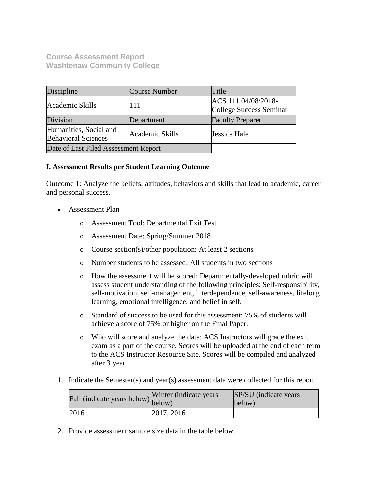**Course Assessment Report Washtenaw Community College**

| Discipline                                           | Course Number   | Title                                          |
|------------------------------------------------------|-----------------|------------------------------------------------|
| Academic Skills                                      | 111             | ACS 111 04/08/2018-<br>College Success Seminar |
| Division                                             | Department      | <b>Faculty Preparer</b>                        |
| Humanities, Social and<br><b>Behavioral Sciences</b> | Academic Skills | Jessica Hale                                   |
| Date of Last Filed Assessment Report                 |                 |                                                |

### **I. Assessment Results per Student Learning Outcome**

Outcome 1: Analyze the beliefs, attitudes, behaviors and skills that lead to academic, career and personal success.

- Assessment Plan
	- o Assessment Tool: Departmental Exit Test
	- o Assessment Date: Spring/Summer 2018
	- o Course section(s)/other population: At least 2 sections
	- o Number students to be assessed: All students in two sections
	- o How the assessment will be scored: Departmentally-developed rubric will assess student understanding of the following principles: Self-responsibility, self-motivation, self-management, interdependence, self-awareness, lifelong learning, emotional intelligence, and belief in self.
	- o Standard of success to be used for this assessment: 75% of students will achieve a score of 75% or higher on the Final Paper.
	- o Who will score and analyze the data: ACS Instructors will grade the exit exam as a part of the course. Scores will be uploaded at the end of each term to the ACS Instructor Resource Site. Scores will be compiled and analyzed after 3 year.
- 1. Indicate the Semester(s) and year(s) assessment data were collected for this report.

| Fall (indicate years below) below) | Winter (indicate years) | SP/SU (indicate years)<br>below) |
|------------------------------------|-------------------------|----------------------------------|
| 2016                               | 2017, 2016              |                                  |

2. Provide assessment sample size data in the table below.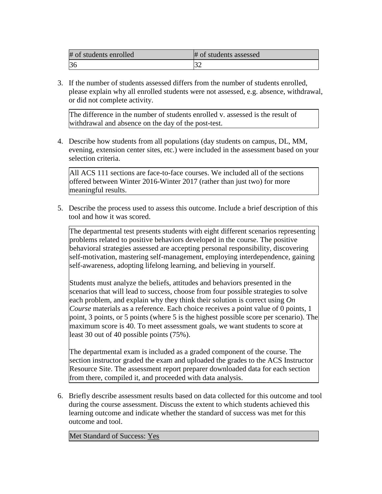| # of students enrolled | # of students assessed |
|------------------------|------------------------|
|                        |                        |

3. If the number of students assessed differs from the number of students enrolled, please explain why all enrolled students were not assessed, e.g. absence, withdrawal, or did not complete activity.

The difference in the number of students enrolled v. assessed is the result of withdrawal and absence on the day of the post-test.

4. Describe how students from all populations (day students on campus, DL, MM, evening, extension center sites, etc.) were included in the assessment based on your selection criteria.

All ACS 111 sections are face-to-face courses. We included all of the sections offered between Winter 2016-Winter 2017 (rather than just two) for more meaningful results.

5. Describe the process used to assess this outcome. Include a brief description of this tool and how it was scored.

The departmental test presents students with eight different scenarios representing problems related to positive behaviors developed in the course. The positive behavioral strategies assessed are accepting personal responsibility, discovering self-motivation, mastering self-management, employing interdependence, gaining self-awareness, adopting lifelong learning, and believing in yourself.

Students must analyze the beliefs, attitudes and behaviors presented in the scenarios that will lead to success, choose from four possible strategies to solve each problem, and explain why they think their solution is correct using *On Course* materials as a reference. Each choice receives a point value of 0 points, 1 point, 3 points, or 5 points (where 5 is the highest possible score per scenario). The maximum score is 40. To meet assessment goals, we want students to score at least 30 out of 40 possible points (75%).

The departmental exam is included as a graded component of the course. The section instructor graded the exam and uploaded the grades to the ACS Instructor Resource Site. The assessment report preparer downloaded data for each section from there, compiled it, and proceeded with data analysis.

6. Briefly describe assessment results based on data collected for this outcome and tool during the course assessment. Discuss the extent to which students achieved this learning outcome and indicate whether the standard of success was met for this outcome and tool.

Met Standard of Success: Yes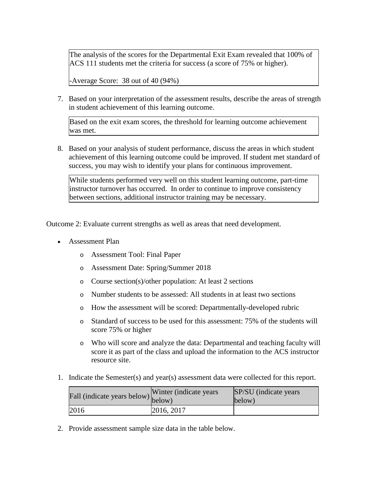The analysis of the scores for the Departmental Exit Exam revealed that 100% of ACS 111 students met the criteria for success (a score of 75% or higher).

-Average Score: 38 out of 40 (94%)

7. Based on your interpretation of the assessment results, describe the areas of strength in student achievement of this learning outcome.

Based on the exit exam scores, the threshold for learning outcome achievement was met.

8. Based on your analysis of student performance, discuss the areas in which student achievement of this learning outcome could be improved. If student met standard of success, you may wish to identify your plans for continuous improvement.

While students performed very well on this student learning outcome, part-time instructor turnover has occurred. In order to continue to improve consistency between sections, additional instructor training may be necessary.

Outcome 2: Evaluate current strengths as well as areas that need development.

- Assessment Plan
	- o Assessment Tool: Final Paper
	- o Assessment Date: Spring/Summer 2018
	- o Course section(s)/other population: At least 2 sections
	- o Number students to be assessed: All students in at least two sections
	- o How the assessment will be scored: Departmentally-developed rubric
	- o Standard of success to be used for this assessment: 75% of the students will score 75% or higher
	- o Who will score and analyze the data: Departmental and teaching faculty will score it as part of the class and upload the information to the ACS instructor resource site.
- 1. Indicate the Semester(s) and year(s) assessment data were collected for this report.

| Fall (indicate years below) $\begin{bmatrix}$ while | Winter (indicate years) | SP/SU (indicate years)<br>below) |
|-----------------------------------------------------|-------------------------|----------------------------------|
| 2016                                                | 2016, 2017              |                                  |

2. Provide assessment sample size data in the table below.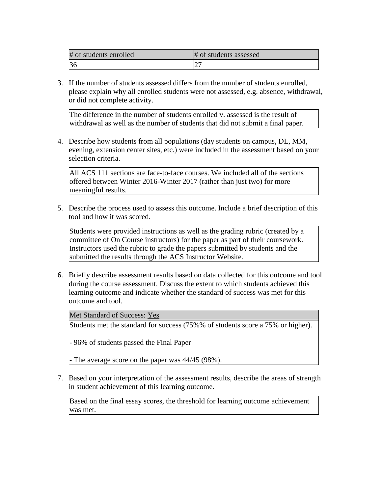| # of students enrolled | # of students assessed |
|------------------------|------------------------|
|                        | ∠                      |

3. If the number of students assessed differs from the number of students enrolled, please explain why all enrolled students were not assessed, e.g. absence, withdrawal, or did not complete activity.

The difference in the number of students enrolled v. assessed is the result of withdrawal as well as the number of students that did not submit a final paper.

4. Describe how students from all populations (day students on campus, DL, MM, evening, extension center sites, etc.) were included in the assessment based on your selection criteria.

All ACS 111 sections are face-to-face courses. We included all of the sections offered between Winter 2016-Winter 2017 (rather than just two) for more meaningful results.

5. Describe the process used to assess this outcome. Include a brief description of this tool and how it was scored.

Students were provided instructions as well as the grading rubric (created by a committee of On Course instructors) for the paper as part of their coursework. Instructors used the rubric to grade the papers submitted by students and the submitted the results through the ACS Instructor Website.

6. Briefly describe assessment results based on data collected for this outcome and tool during the course assessment. Discuss the extent to which students achieved this learning outcome and indicate whether the standard of success was met for this outcome and tool.

Met Standard of Success: Yes

Students met the standard for success (75%% of students score a 75% or higher).

- 96% of students passed the Final Paper

- The average score on the paper was 44/45 (98%).

7. Based on your interpretation of the assessment results, describe the areas of strength in student achievement of this learning outcome.

Based on the final essay scores, the threshold for learning outcome achievement was met.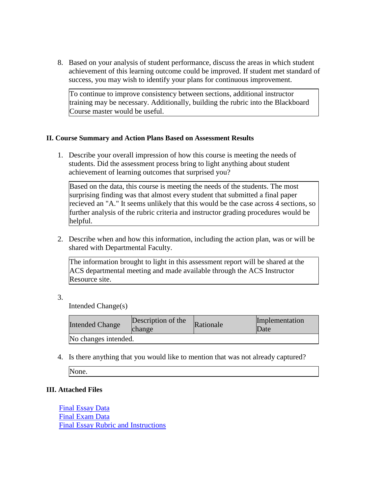8. Based on your analysis of student performance, discuss the areas in which student achievement of this learning outcome could be improved. If student met standard of success, you may wish to identify your plans for continuous improvement.

To continue to improve consistency between sections, additional instructor training may be necessary. Additionally, building the rubric into the Blackboard Course master would be useful.

### **II. Course Summary and Action Plans Based on Assessment Results**

1. Describe your overall impression of how this course is meeting the needs of students. Did the assessment process bring to light anything about student achievement of learning outcomes that surprised you?

Based on the data, this course is meeting the needs of the students. The most surprising finding was that almost every student that submitted a final paper recieved an "A." It seems unlikely that this would be the case across 4 sections, so further analysis of the rubric criteria and instructor grading procedures would be helpful.

2. Describe when and how this information, including the action plan, was or will be shared with Departmental Faculty.

The information brought to light in this assessment report will be shared at the ACS departmental meeting and made available through the ACS Instructor Resource site.

3.

Intended Change(s)

| <b>Intended Change</b> | Description of the<br>change | Rationale | Implementation<br>Date |
|------------------------|------------------------------|-----------|------------------------|
| No changes intended.   |                              |           |                        |

4. Is there anything that you would like to mention that was not already captured?

None.

### **III. Attached Files**

Final Essay Data Final Exam Data Final Essay Rubric and Instructions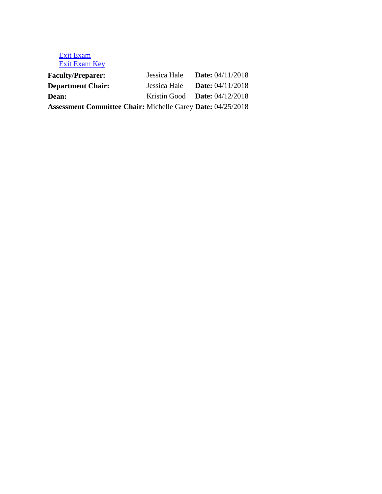## Exit Exam Exit Exam Key

| <b>Faculty/Preparer:</b>                                           | Jessica Hale <b>Date:</b> $04/11/2018$ |  |
|--------------------------------------------------------------------|----------------------------------------|--|
| <b>Department Chair:</b>                                           | Jessica Hale <b>Date:</b> $04/11/2018$ |  |
| <b>Dean:</b>                                                       | Kristin Good <b>Date:</b> $04/12/2018$ |  |
| <b>Assessment Committee Chair: Michelle Garey Date: 04/25/2018</b> |                                        |  |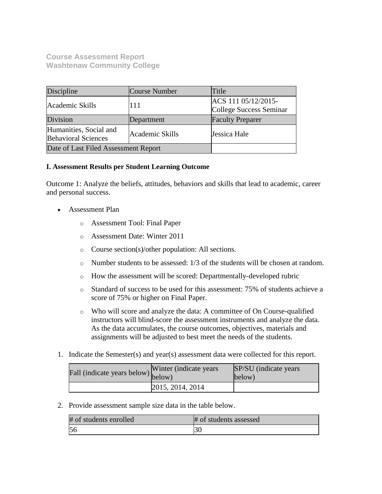**Course Assessment Report Washtenaw Community College**

| Discipline                                           | Course Number   | Title                                          |
|------------------------------------------------------|-----------------|------------------------------------------------|
| Academic Skills                                      | 111             | ACS 111 05/12/2015-<br>College Success Seminar |
| Division                                             | Department      | <b>Faculty Preparer</b>                        |
| Humanities, Social and<br><b>Behavioral Sciences</b> | Academic Skills | Jessica Hale                                   |
| Date of Last Filed Assessment Report                 |                 |                                                |

### **I. Assessment Results per Student Learning Outcome**

Outcome 1: Analyze the beliefs, attitudes, behaviors and skills that lead to academic, career and personal success.

- Assessment Plan
	- o Assessment Tool: Final Paper
	- o Assessment Date: Winter 2011
	- o Course section(s)/other population: All sections.
	- $\circ$  Number students to be assessed: 1/3 of the students will be chosen at random.
	- o How the assessment will be scored: Departmentally-developed rubric
	- o Standard of success to be used for this assessment: 75% of students achieve a score of 75% or higher on Final Paper.
	- o Who will score and analyze the data: A committee of On Course-qualified instructors will blind-score the assessment instruments and analyze the data. As the data accumulates, the course outcomes, objectives, materials and assignments will be adjusted to best meet the needs of the students.
- 1. Indicate the Semester(s) and year(s) assessment data were collected for this report.

| Fall (indicate years below) below) | Winter (indicate years) | SP/SU (indicate years)<br>below) |
|------------------------------------|-------------------------|----------------------------------|
|                                    | 2015, 2014, 2014        |                                  |

2. Provide assessment sample size data in the table below.

| # of students enrolled | # of students assessed |
|------------------------|------------------------|
| 5<                     |                        |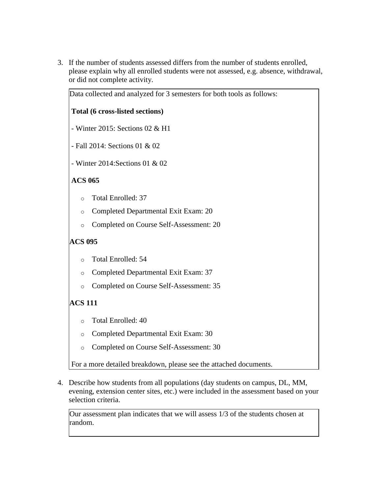3. If the number of students assessed differs from the number of students enrolled, please explain why all enrolled students were not assessed, e.g. absence, withdrawal, or did not complete activity.

| Data collected and analyzed for 3 semesters for both tools as follows: |                                      |  |  |  |
|------------------------------------------------------------------------|--------------------------------------|--|--|--|
|                                                                        | Total (6 cross-listed sections)      |  |  |  |
|                                                                        | - Winter 2015: Sections 02 & H1      |  |  |  |
| - Fall 2014: Sections 01 & 02                                          |                                      |  |  |  |
|                                                                        | - Winter 2014: Sections 01 & 02      |  |  |  |
| <b>ACS 065</b>                                                         |                                      |  |  |  |
| $\Omega$                                                               | <b>Total Enrolled: 37</b>            |  |  |  |
| $\circ$                                                                | Completed Departmental Exit Exam: 20 |  |  |  |
| Completed on Course Self-Assessment: 20<br>$\circ$                     |                                      |  |  |  |
| <b>ACS 095</b>                                                         |                                      |  |  |  |
| $\circ$                                                                | Total Enrolled: 54                   |  |  |  |

- o Completed Departmental Exit Exam: 37
- o Completed on Course Self-Assessment: 35

# **ACS 111**

- o Total Enrolled: 40
- o Completed Departmental Exit Exam: 30
- o Completed on Course Self-Assessment: 30

For a more detailed breakdown, please see the attached documents.

4. Describe how students from all populations (day students on campus, DL, MM, evening, extension center sites, etc.) were included in the assessment based on your selection criteria.

Our assessment plan indicates that we will assess 1/3 of the students chosen at random.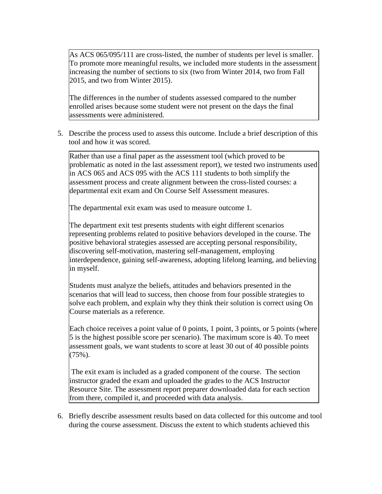As ACS 065/095/111 are cross-listed, the number of students per level is smaller. To promote more meaningful results, we included more students in the assessment increasing the number of sections to six (two from Winter 2014, two from Fall 2015, and two from Winter 2015).

The differences in the number of students assessed compared to the number enrolled arises because some student were not present on the days the final assessments were administered.

5. Describe the process used to assess this outcome. Include a brief description of this tool and how it was scored.

Rather than use a final paper as the assessment tool (which proved to be problematic as noted in the last assessment report), we tested two instruments used in ACS 065 and ACS 095 with the ACS 111 students to both simplify the assessment process and create alignment between the cross-listed courses: a departmental exit exam and On Course Self Assessment measures.

The departmental exit exam was used to measure outcome 1.

The department exit test presents students with eight different scenarios representing problems related to positive behaviors developed in the course. The positive behavioral strategies assessed are accepting personal responsibility, discovering self-motivation, mastering self-management, employing interdependence, gaining self-awareness, adopting lifelong learning, and believing in myself.

Students must analyze the beliefs, attitudes and behaviors presented in the scenarios that will lead to success, then choose from four possible strategies to solve each problem, and explain why they think their solution is correct using On Course materials as a reference.

Each choice receives a point value of 0 points, 1 point, 3 points, or 5 points (where 5 is the highest possible score per scenario). The maximum score is 40. To meet assessment goals, we want students to score at least 30 out of 40 possible points  $(75\%)$ .

The exit exam is included as a graded component of the course. The section instructor graded the exam and uploaded the grades to the ACS Instructor Resource Site. The assessment report preparer downloaded data for each section from there, compiled it, and proceeded with data analysis.

6. Briefly describe assessment results based on data collected for this outcome and tool during the course assessment. Discuss the extent to which students achieved this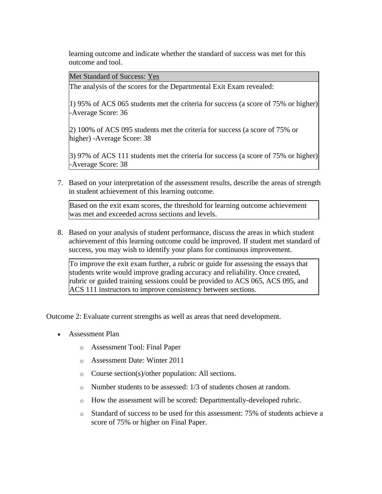learning outcome and indicate whether the standard of success was met for this outcome and tool.

Met Standard of Success: Yes

The analysis of the scores for the Departmental Exit Exam revealed:

1) 95% of ACS 065 students met the criteria for success (a score of 75% or higher) -Average Score: 36

2) 100% of ACS 095 students met the criteria for success (a score of 75% or higher) -Average Score: 38

3) 97% of ACS 111 students met the criteria for success (a score of 75% or higher) -Average Score: 38

7. Based on your interpretation of the assessment results, describe the areas of strength in student achievement of this learning outcome.

Based on the exit exam scores, the threshold for learning outcome achievement was met and exceeded across sections and levels.

8. Based on your analysis of student performance, discuss the areas in which student achievement of this learning outcome could be improved. If student met standard of success, you may wish to identify your plans for continuous improvement.

To improve the exit exam further, a rubric or guide for assessing the essays that students write would improve grading accuracy and reliability. Once created, rubric or guided training sessions could be provided to ACS 065, ACS 095, and ACS 111 instructors to improve consistency between sections.

Outcome 2: Evaluate current strengths as well as areas that need development.

- Assessment Plan
	- o Assessment Tool: Final Paper
	- o Assessment Date: Winter 2011
	- o Course section(s)/other population: All sections.
	- o Number students to be assessed: 1/3 of students chosen at random.
	- o How the assessment will be scored: Departmentally-developed rubric.
	- o Standard of success to be used for this assessment: 75% of students achieve a score of 75% or higher on Final Paper.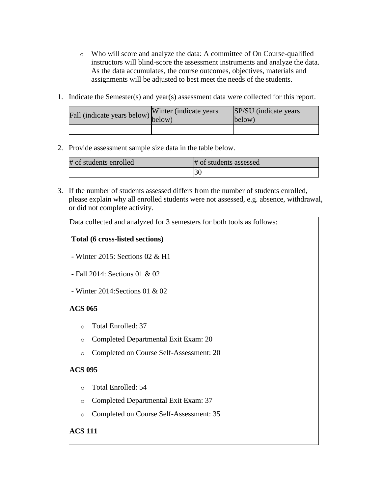- o Who will score and analyze the data: A committee of On Course-qualified instructors will blind-score the assessment instruments and analyze the data. As the data accumulates, the course outcomes, objectives, materials and assignments will be adjusted to best meet the needs of the students.
- 1. Indicate the Semester(s) and year(s) assessment data were collected for this report.

| Fall (indicate years below) below) | Winter (indicate years) | SP/SU (indicate years)<br>below) |
|------------------------------------|-------------------------|----------------------------------|
|                                    |                         |                                  |

2. Provide assessment sample size data in the table below.

| # of students enrolled | # of students assessed |
|------------------------|------------------------|
|                        | ι3U                    |

3. If the number of students assessed differs from the number of students enrolled, please explain why all enrolled students were not assessed, e.g. absence, withdrawal, or did not complete activity.

| Data collected and analyzed for 3 semesters for both tools as follows: |  |  |  |
|------------------------------------------------------------------------|--|--|--|
| Total (6 cross-listed sections)                                        |  |  |  |
| - Winter 2015: Sections 02 $& H1$                                      |  |  |  |
| - Fall 2014: Sections 01 & 02                                          |  |  |  |
| - Winter 2014: Sections 01 & 02                                        |  |  |  |
| <b>ACS 065</b>                                                         |  |  |  |
| <b>Total Enrolled: 37</b><br>$\circ$                                   |  |  |  |
| Completed Departmental Exit Exam: 20<br>$\circ$                        |  |  |  |
| Completed on Course Self-Assessment: 20<br>$\circ$                     |  |  |  |
| <b>ACS 095</b>                                                         |  |  |  |
| Total Enrolled: 54<br>$\circ$                                          |  |  |  |
| Completed Departmental Exit Exam: 37<br>$\circ$                        |  |  |  |
| Completed on Course Self-Assessment: 35<br>$\circ$                     |  |  |  |
| <b>ACS 111</b>                                                         |  |  |  |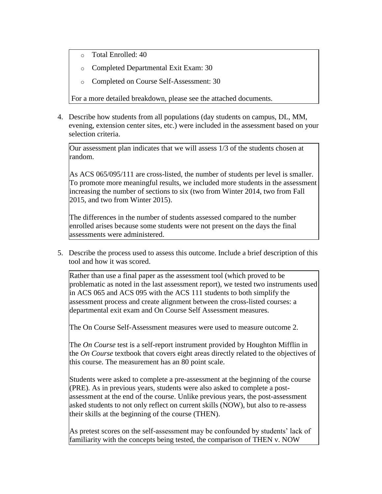- o Total Enrolled: 40
- o Completed Departmental Exit Exam: 30
- o Completed on Course Self-Assessment: 30

For a more detailed breakdown, please see the attached documents.

4. Describe how students from all populations (day students on campus, DL, MM, evening, extension center sites, etc.) were included in the assessment based on your selection criteria.

Our assessment plan indicates that we will assess 1/3 of the students chosen at random.

As ACS 065/095/111 are cross-listed, the number of students per level is smaller. To promote more meaningful results, we included more students in the assessment increasing the number of sections to six (two from Winter 2014, two from Fall 2015, and two from Winter 2015).

The differences in the number of students assessed compared to the number enrolled arises because some students were not present on the days the final assessments were administered.

5. Describe the process used to assess this outcome. Include a brief description of this tool and how it was scored.

Rather than use a final paper as the assessment tool (which proved to be problematic as noted in the last assessment report), we tested two instruments used in ACS 065 and ACS 095 with the ACS 111 students to both simplify the assessment process and create alignment between the cross-listed courses: a departmental exit exam and On Course Self Assessment measures.

The On Course Self-Assessment measures were used to measure outcome 2.

The *On Course* test is a self-report instrument provided by Houghton Mifflin in the *On Course* textbook that covers eight areas directly related to the objectives of this course. The measurement has an 80 point scale.

Students were asked to complete a pre-assessment at the beginning of the course (PRE). As in previous years, students were also asked to complete a postassessment at the end of the course. Unlike previous years, the post-assessment asked students to not only reflect on current skills (NOW), but also to re-assess their skills at the beginning of the course (THEN).

As pretest scores on the self-assessment may be confounded by students' lack of familiarity with the concepts being tested, the comparison of THEN v. NOW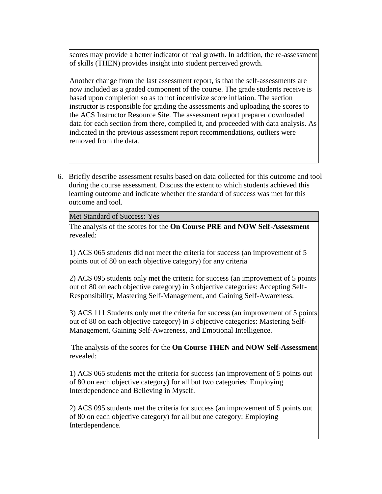scores may provide a better indicator of real growth. In addition, the re-assessment of skills (THEN) provides insight into student perceived growth.

Another change from the last assessment report, is that the self-assessments are now included as a graded component of the course. The grade students receive is based upon completion so as to not incentivize score inflation. The section instructor is responsible for grading the assessments and uploading the scores to the ACS Instructor Resource Site. The assessment report preparer downloaded data for each section from there, compiled it, and proceeded with data analysis. As indicated in the previous assessment report recommendations, outliers were removed from the data.

6. Briefly describe assessment results based on data collected for this outcome and tool during the course assessment. Discuss the extent to which students achieved this learning outcome and indicate whether the standard of success was met for this outcome and tool.

Met Standard of Success: Yes

The analysis of the scores for the **On Course PRE and NOW Self-Assessment** revealed:

1) ACS 065 students did not meet the criteria for success (an improvement of 5 points out of 80 on each objective category) for any criteria

2) ACS 095 students only met the criteria for success (an improvement of 5 points out of 80 on each objective category) in 3 objective categories: Accepting Self-Responsibility, Mastering Self-Management, and Gaining Self-Awareness.

3) ACS 111 Students only met the criteria for success (an improvement of 5 points out of 80 on each objective category) in 3 objective categories: Mastering Self-Management, Gaining Self-Awareness, and Emotional Intelligence.

The analysis of the scores for the **On Course THEN and NOW Self-Assessment** revealed:

1) ACS 065 students met the criteria for success (an improvement of 5 points out of 80 on each objective category) for all but two categories: Employing Interdependence and Believing in Myself.

2) ACS 095 students met the criteria for success (an improvement of 5 points out of 80 on each objective category) for all but one category: Employing Interdependence.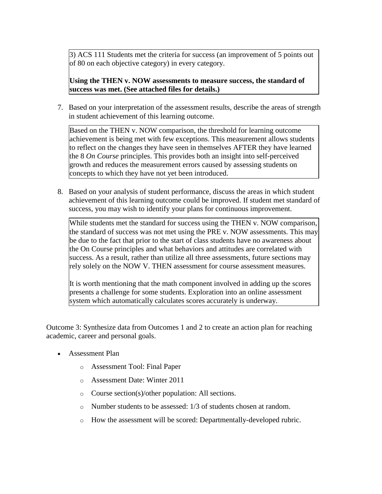3) ACS 111 Students met the criteria for success (an improvement of 5 points out of 80 on each objective category) in every category.

**Using the THEN v. NOW assessments to measure success, the standard of success was met. (See attached files for details.)**

7. Based on your interpretation of the assessment results, describe the areas of strength in student achievement of this learning outcome.

Based on the THEN v. NOW comparison, the threshold for learning outcome achievement is being met with few exceptions. This measurement allows students to reflect on the changes they have seen in themselves AFTER they have learned the 8 *On Course* principles. This provides both an insight into self-perceived growth and reduces the measurement errors caused by assessing students on concepts to which they have not yet been introduced.

8. Based on your analysis of student performance, discuss the areas in which student achievement of this learning outcome could be improved. If student met standard of success, you may wish to identify your plans for continuous improvement.

While students met the standard for success using the THEN v. NOW comparison, the standard of success was not met using the PRE v. NOW assessments. This may be due to the fact that prior to the start of class students have no awareness about the On Course principles and what behaviors and attitudes are correlated with success. As a result, rather than utilize all three assessments, future sections may rely solely on the NOW V. THEN assessment for course assessment measures.

It is worth mentioning that the math component involved in adding up the scores presents a challenge for some students. Exploration into an online assessment system which automatically calculates scores accurately is underway.

Outcome 3: Synthesize data from Outcomes 1 and 2 to create an action plan for reaching academic, career and personal goals.

- Assessment Plan
	- o Assessment Tool: Final Paper
	- o Assessment Date: Winter 2011
	- o Course section(s)/other population: All sections.
	- o Number students to be assessed: 1/3 of students chosen at random.
	- o How the assessment will be scored: Departmentally-developed rubric.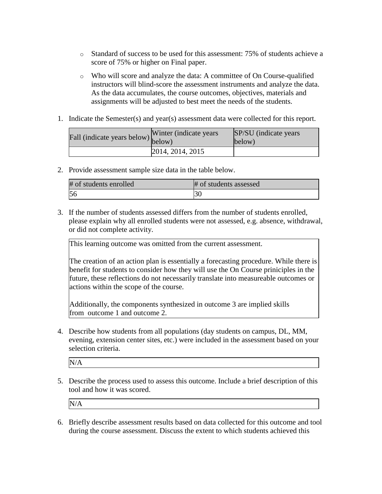- o Standard of success to be used for this assessment: 75% of students achieve a score of 75% or higher on Final paper.
- o Who will score and analyze the data: A committee of On Course-qualified instructors will blind-score the assessment instruments and analyze the data. As the data accumulates, the course outcomes, objectives, materials and assignments will be adjusted to best meet the needs of the students.
- 1. Indicate the Semester(s) and year(s) assessment data were collected for this report.

| Fall (indicate years below) below) | Winter (indicate years) | SP/SU (indicate years)<br>below) |
|------------------------------------|-------------------------|----------------------------------|
|                                    | 2014, 2014, 2015        |                                  |

2. Provide assessment sample size data in the table below.

| # of students enrolled | # of students assessed |
|------------------------|------------------------|
|                        | ЭU                     |

3. If the number of students assessed differs from the number of students enrolled, please explain why all enrolled students were not assessed, e.g. absence, withdrawal, or did not complete activity.

This learning outcome was omitted from the current assessment.

The creation of an action plan is essentially a forecasting procedure. While there is benefit for students to consider how they will use the On Course priniciples in the future, these reflections do not necessarily translate into measureable outcomes or actions within the scope of the course.

Additionally, the components synthesized in outcome 3 are implied skills from outcome 1 and outcome 2.

4. Describe how students from all populations (day students on campus, DL, MM, evening, extension center sites, etc.) were included in the assessment based on your selection criteria.

N/A

5. Describe the process used to assess this outcome. Include a brief description of this tool and how it was scored.

N/A

6. Briefly describe assessment results based on data collected for this outcome and tool during the course assessment. Discuss the extent to which students achieved this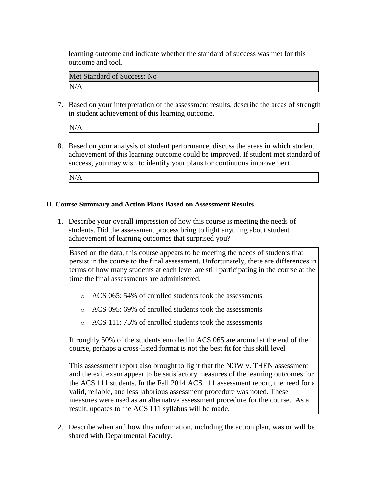learning outcome and indicate whether the standard of success was met for this outcome and tool.

Met Standard of Success: No N/A

7. Based on your interpretation of the assessment results, describe the areas of strength in student achievement of this learning outcome.

N/A

8. Based on your analysis of student performance, discuss the areas in which student achievement of this learning outcome could be improved. If student met standard of success, you may wish to identify your plans for continuous improvement.

N/A

### **II. Course Summary and Action Plans Based on Assessment Results**

1. Describe your overall impression of how this course is meeting the needs of students. Did the assessment process bring to light anything about student achievement of learning outcomes that surprised you?

Based on the data, this course appears to be meeting the needs of students that persist in the course to the final assessment. Unfortunately, there are differences in terms of how many students at each level are still participating in the course at the time the final assessments are administered.

- o ACS 065: 54% of enrolled students took the assessments
- o ACS 095: 69% of enrolled students took the assessments
- o ACS 111: 75% of enrolled students took the assessments

If roughly 50% of the students enrolled in ACS 065 are around at the end of the course, perhaps a cross-listed format is not the best fit for this skill level.

This assessment report also brought to light that the NOW v. THEN assessment and the exit exam appear to be satisfactory measures of the learning outcomes for the ACS 111 students. In the Fall 2014 ACS 111 assessment report, the need for a valid, reliable, and less laborious assessment procedure was noted. These measures were used as an alternative assessment procedure for the course. As a result, updates to the ACS 111 syllabus will be made.

2. Describe when and how this information, including the action plan, was or will be shared with Departmental Faculty.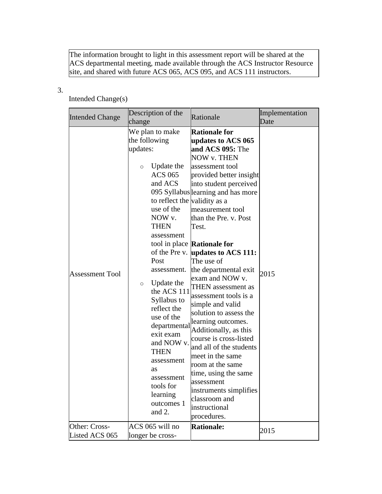The information brought to light in this assessment report will be shared at the ACS departmental meeting, made available through the ACS Instructor Resource site, and shared with future ACS 065, ACS 095, and ACS 111 instructors.

# 3.

# Intended Change(s)

| <b>Intended Change</b>          | Description of the<br>change                                                                                                                                                                                                                                                                                                                                                                                                                    | Rationale                                                                                                                                                                                                                                                                                                                                                                                                                                                                                                                                                                                                                                                                                                                                                    | Implementation<br>Date |
|---------------------------------|-------------------------------------------------------------------------------------------------------------------------------------------------------------------------------------------------------------------------------------------------------------------------------------------------------------------------------------------------------------------------------------------------------------------------------------------------|--------------------------------------------------------------------------------------------------------------------------------------------------------------------------------------------------------------------------------------------------------------------------------------------------------------------------------------------------------------------------------------------------------------------------------------------------------------------------------------------------------------------------------------------------------------------------------------------------------------------------------------------------------------------------------------------------------------------------------------------------------------|------------------------|
| <b>Assessment Tool</b>          | We plan to make<br>the following<br>updates:<br>Update the<br>$\circ$<br><b>ACS 065</b><br>and ACS<br>to reflect the validity as a<br>use of the<br>NOW v.<br><b>THEN</b><br>assessment<br>Post<br>assessment.<br>Update the<br>$\circ$<br>the ACS 111<br>Syllabus to<br>reflect the<br>use of the<br>departmental<br>exit exam<br>and NOW v.<br><b>THEN</b><br>assessment<br>as<br>assessment<br>tools for<br>learning<br>outcomes 1<br>and 2. | <b>Rationale for</b><br>updates to ACS 065<br>and ACS 095: The<br>NOW v. THEN<br>assessment tool<br>provided better insight<br>into student perceived<br>095 Syllabus learning and has more<br>measurement tool<br>than the Pre. v. Post<br>Test.<br>tool in place <b>Rationale for</b><br>of the Pre v. $\mu$ <b>pdates to ACS 111:</b><br>The use of<br>the departmental exit<br>exam and NOW v.<br>THEN assessment as<br>assessment tools is a<br>simple and valid<br>solution to assess the<br>learning outcomes.<br>Additionally, as this<br>course is cross-listed<br>and all of the students<br>meet in the same<br>room at the same<br>time, using the same<br>assessment<br>instruments simplifies<br>classroom and<br>instructional<br>procedures. | 2015                   |
| Other: Cross-<br>Listed ACS 065 | ACS 065 will no<br>longer be cross-                                                                                                                                                                                                                                                                                                                                                                                                             | <b>Rationale:</b>                                                                                                                                                                                                                                                                                                                                                                                                                                                                                                                                                                                                                                                                                                                                            | 2015                   |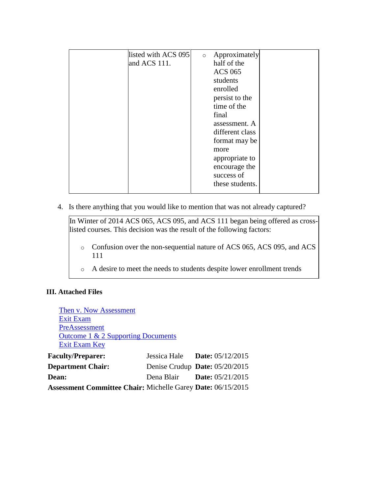| listed with ACS 095 | Approximately<br>$\circ$ |
|---------------------|--------------------------|
| and ACS 111.        | half of the              |
|                     | <b>ACS 065</b>           |
|                     | students                 |
|                     | enrolled                 |
|                     | persist to the           |
|                     | time of the              |
|                     | final                    |
|                     | assessment. A            |
|                     | different class          |
|                     | format may be            |
|                     | more                     |
|                     | appropriate to           |
|                     | encourage the            |
|                     | success of               |
|                     | these students.          |
|                     |                          |

4. Is there anything that you would like to mention that was not already captured?

In Winter of 2014 ACS 065, ACS 095, and ACS 111 began being offered as crosslisted courses. This decision was the result of the following factors:

- o Confusion over the non-sequential nature of ACS 065, ACS 095, and ACS 111
- o A desire to meet the needs to students despite lower enrollment trends

### **III. Attached Files**

| Then v. Now Assessment                                             |                                    |
|--------------------------------------------------------------------|------------------------------------|
| <b>Exit Exam</b>                                                   |                                    |
| PreAssessment                                                      |                                    |
| Outcome 1 & 2 Supporting Documents                                 |                                    |
| Exit Exam Key                                                      |                                    |
| <b>Faculty/Preparer:</b>                                           | Jessica Hale Date: $05/12/2015$    |
| <b>Department Chair:</b>                                           | Denise Crudup Date: 05/20/2015     |
| <b>Dean:</b>                                                       | Dena Blair <b>Date:</b> 05/21/2015 |
| <b>Assessment Committee Chair: Michelle Garey Date: 06/15/2015</b> |                                    |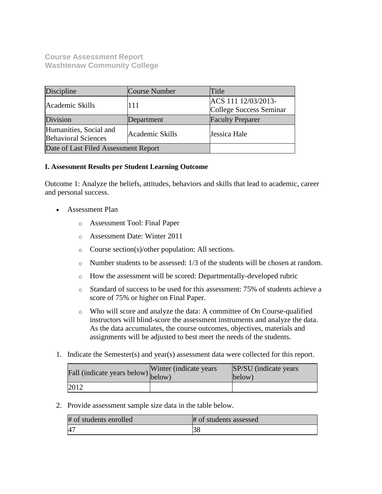**Course Assessment Report Washtenaw Community College**

| Discipline                                                              | Course Number | Title                                          |
|-------------------------------------------------------------------------|---------------|------------------------------------------------|
| Academic Skills                                                         | 111           | ACS 111 12/03/2013-<br>College Success Seminar |
| Division                                                                | Department    | <b>Faculty Preparer</b>                        |
| Humanities, Social and<br>Academic Skills<br><b>Behavioral Sciences</b> |               | Jessica Hale                                   |
| Date of Last Filed Assessment Report                                    |               |                                                |

### **I. Assessment Results per Student Learning Outcome**

Outcome 1: Analyze the beliefs, attitudes, behaviors and skills that lead to academic, career and personal success.

- Assessment Plan
	- o Assessment Tool: Final Paper
	- o Assessment Date: Winter 2011
	- o Course section(s)/other population: All sections.
	- $\circ$  Number students to be assessed: 1/3 of the students will be chosen at random.
	- o How the assessment will be scored: Departmentally-developed rubric
	- o Standard of success to be used for this assessment: 75% of students achieve a score of 75% or higher on Final Paper.
	- o Who will score and analyze the data: A committee of On Course-qualified instructors will blind-score the assessment instruments and analyze the data. As the data accumulates, the course outcomes, objectives, materials and assignments will be adjusted to best meet the needs of the students.
- 1. Indicate the Semester(s) and year(s) assessment data were collected for this report.

| Fall (indicate years below) below) | Winter (indicate years) | SP/SU (indicate years)<br>below) |
|------------------------------------|-------------------------|----------------------------------|
| 2012                               |                         |                                  |

2. Provide assessment sample size data in the table below.

| # of students enrolled | # of students assessed |
|------------------------|------------------------|
| 4 <sup>7</sup>         |                        |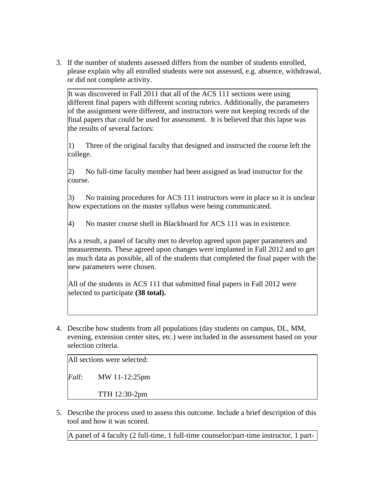3. If the number of students assessed differs from the number of students enrolled, please explain why all enrolled students were not assessed, e.g. absence, withdrawal, or did not complete activity.

It was discovered in Fall 2011 that all of the ACS 111 sections were using different final papers with different scoring rubrics. Additionally, the parameters of the assignment were different, and instructors were not keeping records of the final papers that could be used for assessment. It is believed that this lapse was the results of several factors:

1) Three of the original faculty that designed and instructed the course left the college.

2) No full-time faculty member had been assigned as lead instructor for the course.

3) No training procedures for ACS 111 instructors were in place so it is unclear how expectations on the master syllabus were being communicated.

4) No master course shell in Blackboard for ACS 111 was in existence.

As a result, a panel of faculty met to develop agreed upon paper parameters and measurements. These agreed upon changes were implanted in Fall 2012 and to get as much data as possible, all of the students that completed the final paper with the new parameters were chosen.

All of the students in ACS 111 that submitted final papers in Fall 2012 were selected to participate **(38 total).**

4. Describe how students from all populations (day students on campus, DL, MM, evening, extension center sites, etc.) were included in the assessment based on your selection criteria.

All sections were selected:

*Fall:* MW 11-12:25pm

TTH 12:30-2pm

5. Describe the process used to assess this outcome. Include a brief description of this tool and how it was scored.

A panel of 4 faculty (2 full-time, 1 full-time counselor/part-time instructor, 1 part-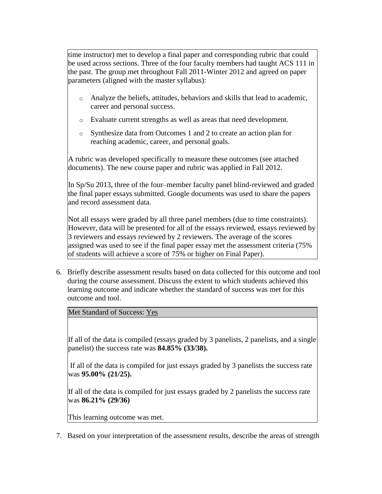time instructor) met to develop a final paper and corresponding rubric that could be used across sections. Three of the four faculty members had taught ACS 111 in the past. The group met throughout Fall 2011-Winter 2012 and agreed on paper parameters (aligned with the master syllabus):

- o Analyze the beliefs, attitudes, behaviors and skills that lead to academic, career and personal success.
- o Evaluate current strengths as well as areas that need development.
- o Synthesize data from Outcomes 1 and 2 to create an action plan for reaching academic, career, and personal goals.

A rubric was developed specifically to measure these outcomes (see attached documents). The new course paper and rubric was applied in Fall 2012.

In Sp/Su 2013, three of the four–member faculty panel blind-reviewed and graded the final paper essays submitted. Google documents was used to share the papers and record assessment data.

Not all essays were graded by all three panel members (due to time constraints). However, data will be presented for all of the essays reviewed, essays reviewed by 3 reviewers and essays reviewed by 2 reviewers. The average of the scores assigned was used to see if the final paper essay met the assessment criteria (75% of students will achieve a score of 75% or higher on Final Paper).

6. Briefly describe assessment results based on data collected for this outcome and tool during the course assessment. Discuss the extent to which students achieved this learning outcome and indicate whether the standard of success was met for this outcome and tool.

Met Standard of Success: Yes

If all of the data is compiled (essays graded by 3 panelists, 2 panelists, and a single panelist) the success rate was **84.85% (33/38).**

If all of the data is compiled for just essays graded by 3 panelists the success rate was **95.00% (21/25).**

If all of the data is compiled for just essays graded by 2 panelists the success rate was **86.21% (29/36)**

This learning outcome was met.

7. Based on your interpretation of the assessment results, describe the areas of strength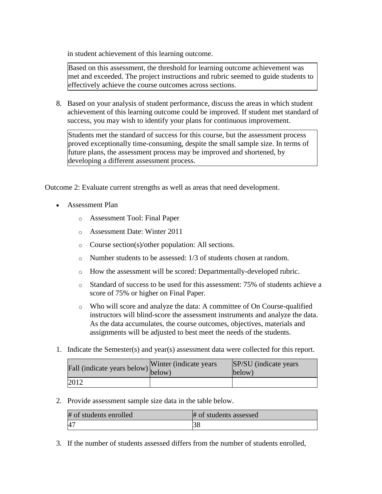in student achievement of this learning outcome.

Based on this assessment, the threshold for learning outcome achievement was met and exceeded. The project instructions and rubric seemed to guide students to effectively achieve the course outcomes across sections.

8. Based on your analysis of student performance, discuss the areas in which student achievement of this learning outcome could be improved. If student met standard of success, you may wish to identify your plans for continuous improvement.

Students met the standard of success for this course, but the assessment process proved exceptionally time-consuming, despite the small sample size. In terms of future plans, the assessment process may be improved and shortened, by developing a different assessment process.

Outcome 2: Evaluate current strengths as well as areas that need development.

- Assessment Plan
	- o Assessment Tool: Final Paper
	- o Assessment Date: Winter 2011
	- o Course section(s)/other population: All sections.
	- o Number students to be assessed: 1/3 of students chosen at random.
	- o How the assessment will be scored: Departmentally-developed rubric.
	- o Standard of success to be used for this assessment: 75% of students achieve a score of 75% or higher on Final Paper.
	- o Who will score and analyze the data: A committee of On Course-qualified instructors will blind-score the assessment instruments and analyze the data. As the data accumulates, the course outcomes, objectives, materials and assignments will be adjusted to best meet the needs of the students.
- 1. Indicate the Semester(s) and year(s) assessment data were collected for this report.

| Fall (indicate years below) below) | Winter (indicate years) | SP/SU (indicate years)<br>below) |
|------------------------------------|-------------------------|----------------------------------|
| 2012                               |                         |                                  |

2. Provide assessment sample size data in the table below.

| # of students enrolled | # of students assessed |
|------------------------|------------------------|
| $\overline{A}$         |                        |

3. If the number of students assessed differs from the number of students enrolled,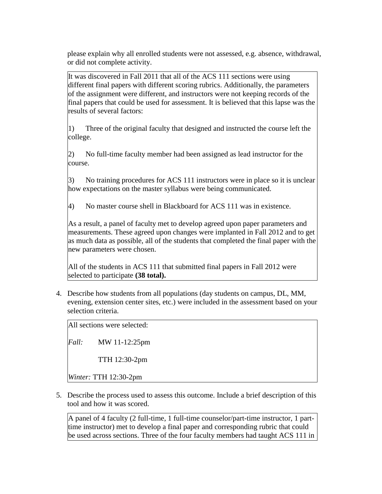please explain why all enrolled students were not assessed, e.g. absence, withdrawal, or did not complete activity.

It was discovered in Fall 2011 that all of the ACS 111 sections were using different final papers with different scoring rubrics. Additionally, the parameters of the assignment were different, and instructors were not keeping records of the final papers that could be used for assessment. It is believed that this lapse was the results of several factors:

1) Three of the original faculty that designed and instructed the course left the college.

2) No full-time faculty member had been assigned as lead instructor for the course.

3) No training procedures for ACS 111 instructors were in place so it is unclear how expectations on the master syllabus were being communicated.

4) No master course shell in Blackboard for ACS 111 was in existence.

As a result, a panel of faculty met to develop agreed upon paper parameters and measurements. These agreed upon changes were implanted in Fall 2012 and to get as much data as possible, all of the students that completed the final paper with the new parameters were chosen.

All of the students in ACS 111 that submitted final papers in Fall 2012 were selected to participate **(38 total).**

4. Describe how students from all populations (day students on campus, DL, MM, evening, extension center sites, etc.) were included in the assessment based on your selection criteria.

All sections were selected:

*Fall:* MW 11-12:25pm

TTH 12:30-2pm

*Winter:* TTH 12:30-2pm

5. Describe the process used to assess this outcome. Include a brief description of this tool and how it was scored.

A panel of 4 faculty (2 full-time, 1 full-time counselor/part-time instructor, 1 parttime instructor) met to develop a final paper and corresponding rubric that could be used across sections. Three of the four faculty members had taught ACS 111 in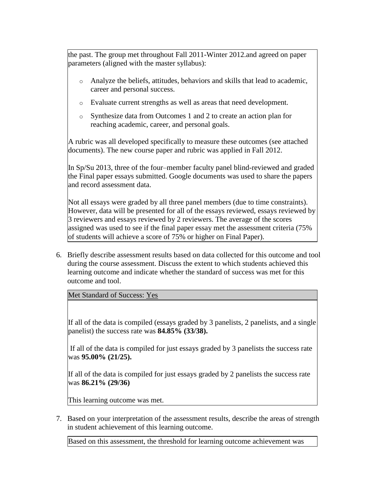the past. The group met throughout Fall 2011-Winter 2012.and agreed on paper parameters (aligned with the master syllabus):

- o Analyze the beliefs, attitudes, behaviors and skills that lead to academic, career and personal success.
- o Evaluate current strengths as well as areas that need development.
- o Synthesize data from Outcomes 1 and 2 to create an action plan for reaching academic, career, and personal goals.

A rubric was all developed specifically to measure these outcomes (see attached documents). The new course paper and rubric was applied in Fall 2012.

In Sp/Su 2013, three of the four–member faculty panel blind-reviewed and graded the Final paper essays submitted. Google documents was used to share the papers and record assessment data.

Not all essays were graded by all three panel members (due to time constraints). However, data will be presented for all of the essays reviewed, essays reviewed by 3 reviewers and essays reviewed by 2 reviewers. The average of the scores assigned was used to see if the final paper essay met the assessment criteria (75% of students will achieve a score of 75% or higher on Final Paper).

6. Briefly describe assessment results based on data collected for this outcome and tool during the course assessment. Discuss the extent to which students achieved this learning outcome and indicate whether the standard of success was met for this outcome and tool.

Met Standard of Success: Yes

If all of the data is compiled (essays graded by 3 panelists, 2 panelists, and a single panelist) the success rate was **84.85% (33/38).**

If all of the data is compiled for just essays graded by 3 panelists the success rate was **95.00% (21/25).**

If all of the data is compiled for just essays graded by 2 panelists the success rate was **86.21% (29/36)**

This learning outcome was met.

7. Based on your interpretation of the assessment results, describe the areas of strength in student achievement of this learning outcome.

Based on this assessment, the threshold for learning outcome achievement was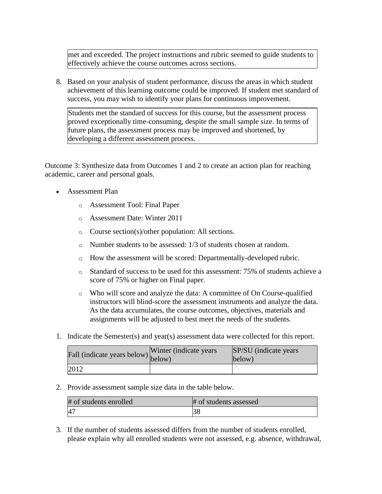met and exceeded. The project instructions and rubric seemed to guide students to effectively achieve the course outcomes across sections.

8. Based on your analysis of student performance, discuss the areas in which student achievement of this learning outcome could be improved. If student met standard of success, you may wish to identify your plans for continuous improvement.

Students met the standard of success for this course, but the assessment process proved exceptionally time-consuming, despite the small sample size. In terms of future plans, the assessment process may be improved and shortened, by developing a different assessment process.

Outcome 3: Synthesize data from Outcomes 1 and 2 to create an action plan for reaching academic, career and personal goals.

- Assessment Plan
	- o Assessment Tool: Final Paper
	- o Assessment Date: Winter 2011
	- o Course section(s)/other population: All sections.
	- o Number students to be assessed: 1/3 of students chosen at random.
	- o How the assessment will be scored: Departmentally-developed rubric.
	- o Standard of success to be used for this assessment: 75% of students achieve a score of 75% or higher on Final paper.
	- o Who will score and analyze the data: A committee of On Course-qualified instructors will blind-score the assessment instruments and analyze the data. As the data accumulates, the course outcomes, objectives, materials and assignments will be adjusted to best meet the needs of the students.
- 1. Indicate the Semester(s) and year(s) assessment data were collected for this report.

| Fall (indicate years below) below) | Winter (indicate years) | SP/SU (indicate years)<br>below) |
|------------------------------------|-------------------------|----------------------------------|
| 2012                               |                         |                                  |

2. Provide assessment sample size data in the table below.

| # of students enrolled | # of students assessed |
|------------------------|------------------------|
|                        | 58                     |

3. If the number of students assessed differs from the number of students enrolled, please explain why all enrolled students were not assessed, e.g. absence, withdrawal,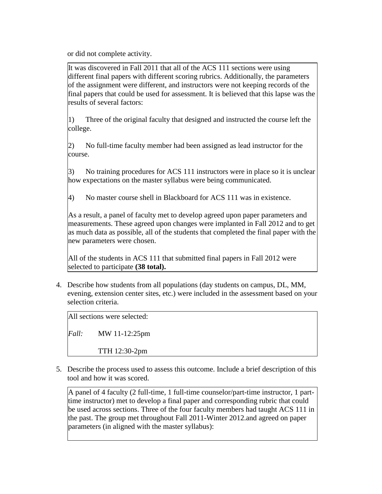or did not complete activity.

It was discovered in Fall 2011 that all of the ACS 111 sections were using different final papers with different scoring rubrics. Additionally, the parameters of the assignment were different, and instructors were not keeping records of the final papers that could be used for assessment. It is believed that this lapse was the results of several factors:

1) Three of the original faculty that designed and instructed the course left the college.

2) No full-time faculty member had been assigned as lead instructor for the course.

3) No training procedures for ACS 111 instructors were in place so it is unclear how expectations on the master syllabus were being communicated.

4) No master course shell in Blackboard for ACS 111 was in existence.

As a result, a panel of faculty met to develop agreed upon paper parameters and measurements. These agreed upon changes were implanted in Fall 2012 and to get as much data as possible, all of the students that completed the final paper with the new parameters were chosen.

All of the students in ACS 111 that submitted final papers in Fall 2012 were selected to participate **(38 total).**

4. Describe how students from all populations (day students on campus, DL, MM, evening, extension center sites, etc.) were included in the assessment based on your selection criteria.

All sections were selected:

*Fall:* MW 11-12:25pm

TTH 12:30-2pm

5. Describe the process used to assess this outcome. Include a brief description of this tool and how it was scored.

A panel of 4 faculty (2 full-time, 1 full-time counselor/part-time instructor, 1 parttime instructor) met to develop a final paper and corresponding rubric that could be used across sections. Three of the four faculty members had taught ACS 111 in the past. The group met throughout Fall 2011-Winter 2012.and agreed on paper parameters (in aligned with the master syllabus):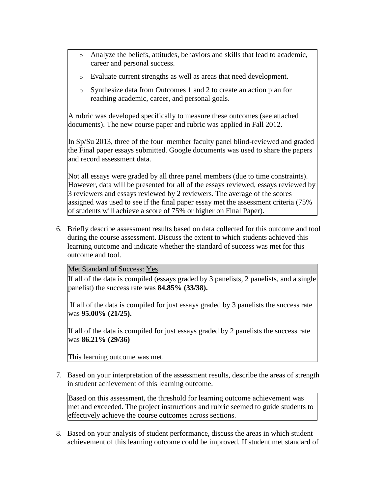- o Analyze the beliefs, attitudes, behaviors and skills that lead to academic, career and personal success.
- o Evaluate current strengths as well as areas that need development.
- o Synthesize data from Outcomes 1 and 2 to create an action plan for reaching academic, career, and personal goals.

A rubric was developed specifically to measure these outcomes (see attached documents). The new course paper and rubric was applied in Fall 2012.

In Sp/Su 2013, three of the four–member faculty panel blind-reviewed and graded the Final paper essays submitted. Google documents was used to share the papers and record assessment data.

Not all essays were graded by all three panel members (due to time constraints). However, data will be presented for all of the essays reviewed, essays reviewed by 3 reviewers and essays reviewed by 2 reviewers. The average of the scores assigned was used to see if the final paper essay met the assessment criteria (75% of students will achieve a score of 75% or higher on Final Paper).

6. Briefly describe assessment results based on data collected for this outcome and tool during the course assessment. Discuss the extent to which students achieved this learning outcome and indicate whether the standard of success was met for this outcome and tool.

Met Standard of Success: Yes

If all of the data is compiled (essays graded by 3 panelists, 2 panelists, and a single panelist) the success rate was **84.85% (33/38).**

If all of the data is compiled for just essays graded by 3 panelists the success rate was **95.00% (21/25).**

If all of the data is compiled for just essays graded by 2 panelists the success rate was **86.21% (29/36)**

This learning outcome was met.

7. Based on your interpretation of the assessment results, describe the areas of strength in student achievement of this learning outcome.

Based on this assessment, the threshold for learning outcome achievement was met and exceeded. The project instructions and rubric seemed to guide students to effectively achieve the course outcomes across sections.

8. Based on your analysis of student performance, discuss the areas in which student achievement of this learning outcome could be improved. If student met standard of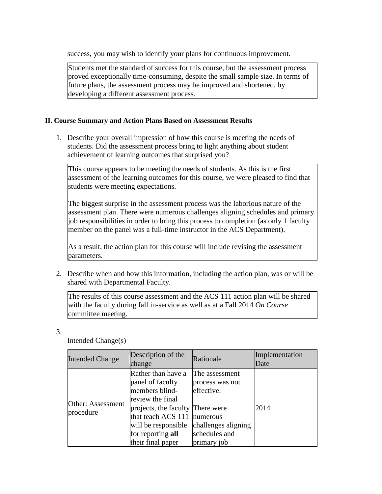success, you may wish to identify your plans for continuous improvement.

Students met the standard of success for this course, but the assessment process proved exceptionally time-consuming, despite the small sample size. In terms of future plans, the assessment process may be improved and shortened, by developing a different assessment process.

### **II. Course Summary and Action Plans Based on Assessment Results**

1. Describe your overall impression of how this course is meeting the needs of students. Did the assessment process bring to light anything about student achievement of learning outcomes that surprised you?

This course appears to be meeting the needs of students. As this is the first assessment of the learning outcomes for this course, we were pleased to find that students were meeting expectations.

The biggest surprise in the assessment process was the laborious nature of the assessment plan. There were numerous challenges aligning schedules and primary job responsibilities in order to bring this process to completion (as only 1 faculty member on the panel was a full-time instructor in the ACS Department).

As a result, the action plan for this course will include revising the assessment parameters.

2. Describe when and how this information, including the action plan, was or will be shared with Departmental Faculty.

The results of this course assessment and the ACS 111 action plan will be shared with the faculty during fall in-service as well as at a Fall 2014 *On Course* committee meeting.

3.

Intended Change(s)

| <b>Intended Change</b>         | Description of the<br>change                                                                                                                                                                            | Rationale                                                                                                          | Implementation<br>Date |
|--------------------------------|---------------------------------------------------------------------------------------------------------------------------------------------------------------------------------------------------------|--------------------------------------------------------------------------------------------------------------------|------------------------|
| Other: Assessment<br>procedure | Rather than have a<br>panel of faculty<br>members blind-<br>review the final<br>projects, the faculty There were<br>that teach ACS 111<br>will be responsible<br>for reporting all<br>their final paper | The assessment<br>process was not<br>effective.<br>mumerous<br>challenges aligning<br>schedules and<br>primary job | 2014                   |